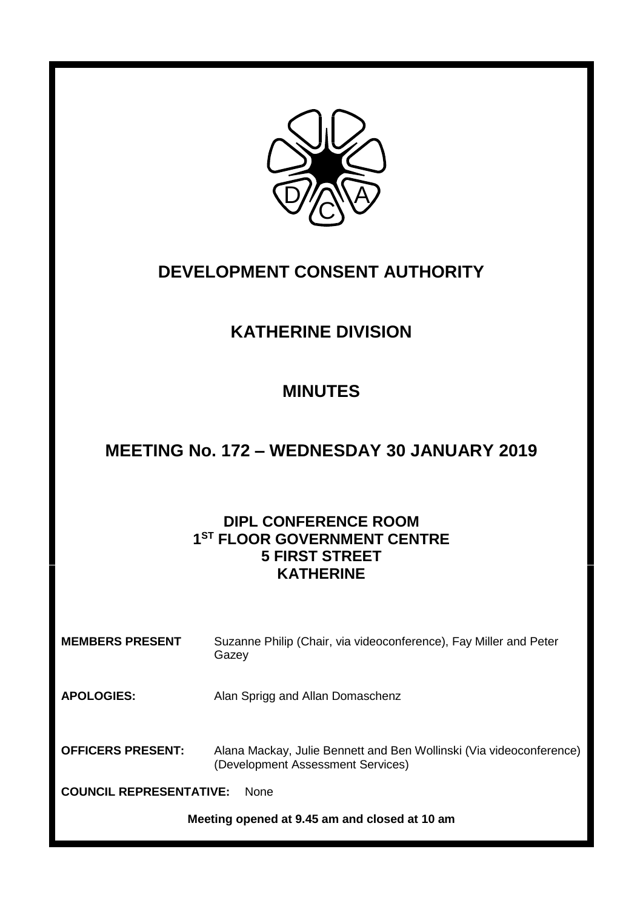

# **DEVELOPMENT CONSENT AUTHORITY**

# **KATHERINE DIVISION**

# **MINUTES**

### **MEETING No. 172 – WEDNESDAY 30 JANUARY 2019**

### **DIPL CONFERENCE ROOM 1 ST FLOOR GOVERNMENT CENTRE 5 FIRST STREET KATHERINE**

| <b>MEMBERS PRESENT</b>                        | Suzanne Philip (Chair, via videoconference), Fay Miller and Peter<br>Gazey                               |
|-----------------------------------------------|----------------------------------------------------------------------------------------------------------|
| <b>APOLOGIES:</b>                             | Alan Sprigg and Allan Domaschenz                                                                         |
| <b>OFFICERS PRESENT:</b>                      | Alana Mackay, Julie Bennett and Ben Wollinski (Via videoconference)<br>(Development Assessment Services) |
| <b>COUNCIL REPRESENTATIVE:</b><br><b>None</b> |                                                                                                          |
| Meeting opened at 9.45 am and closed at 10 am |                                                                                                          |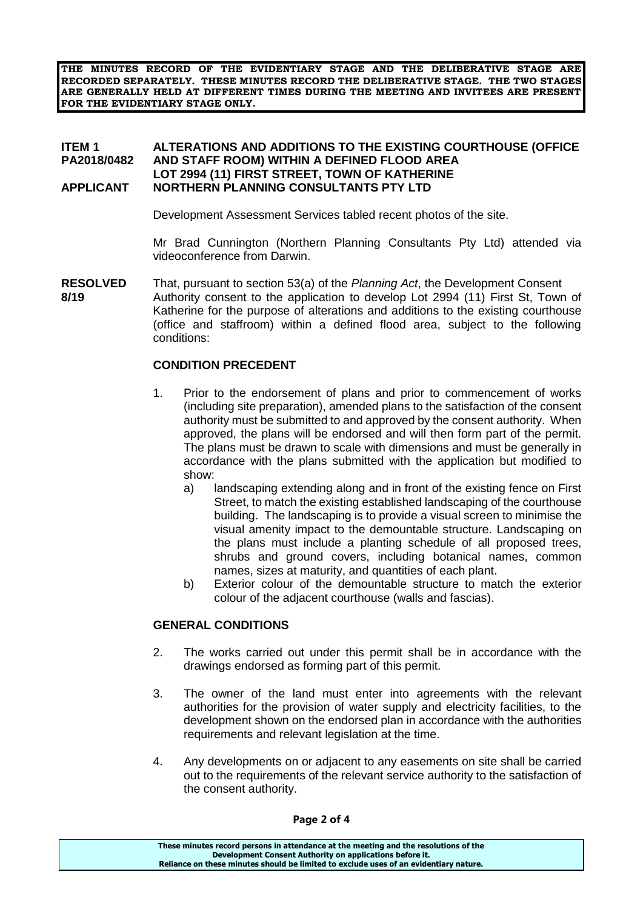**THE MINUTES RECORD OF THE EVIDENTIARY STAGE AND THE DELIBERATIVE STAGE ARE RECORDED SEPARATELY. THESE MINUTES RECORD THE DELIBERATIVE STAGE. THE TWO STAGES ARE GENERALLY HELD AT DIFFERENT TIMES DURING THE MEETING AND INVITEES ARE PRESENT FOR THE EVIDENTIARY STAGE ONLY.**

#### **ITEM 1 ALTERATIONS AND ADDITIONS TO THE EXISTING COURTHOUSE (OFFICE PA2018/0482 AND STAFF ROOM) WITHIN A DEFINED FLOOD AREA LOT 2994 (11) FIRST STREET, TOWN OF KATHERINE APPLICANT NORTHERN PLANNING CONSULTANTS PTY LTD**

Development Assessment Services tabled recent photos of the site.

Mr Brad Cunnington (Northern Planning Consultants Pty Ltd) attended via videoconference from Darwin.

**RESOLVED** That, pursuant to section 53(a) of the *Planning Act*, the Development Consent **8/19** Authority consent to the application to develop Lot 2994 (11) First St, Town of Katherine for the purpose of alterations and additions to the existing courthouse (office and staffroom) within a defined flood area, subject to the following conditions:

#### **CONDITION PRECEDENT**

- 1. Prior to the endorsement of plans and prior to commencement of works (including site preparation), amended plans to the satisfaction of the consent authority must be submitted to and approved by the consent authority. When approved, the plans will be endorsed and will then form part of the permit. The plans must be drawn to scale with dimensions and must be generally in accordance with the plans submitted with the application but modified to show:
	- a) landscaping extending along and in front of the existing fence on First Street, to match the existing established landscaping of the courthouse building. The landscaping is to provide a visual screen to minimise the visual amenity impact to the demountable structure. Landscaping on the plans must include a planting schedule of all proposed trees, shrubs and ground covers, including botanical names, common names, sizes at maturity, and quantities of each plant.
	- b) Exterior colour of the demountable structure to match the exterior colour of the adjacent courthouse (walls and fascias).

#### **GENERAL CONDITIONS**

- 2. The works carried out under this permit shall be in accordance with the drawings endorsed as forming part of this permit.
- 3. The owner of the land must enter into agreements with the relevant authorities for the provision of water supply and electricity facilities, to the development shown on the endorsed plan in accordance with the authorities requirements and relevant legislation at the time.
- 4. Any developments on or adjacent to any easements on site shall be carried out to the requirements of the relevant service authority to the satisfaction of the consent authority.

#### **Page 2 of 4**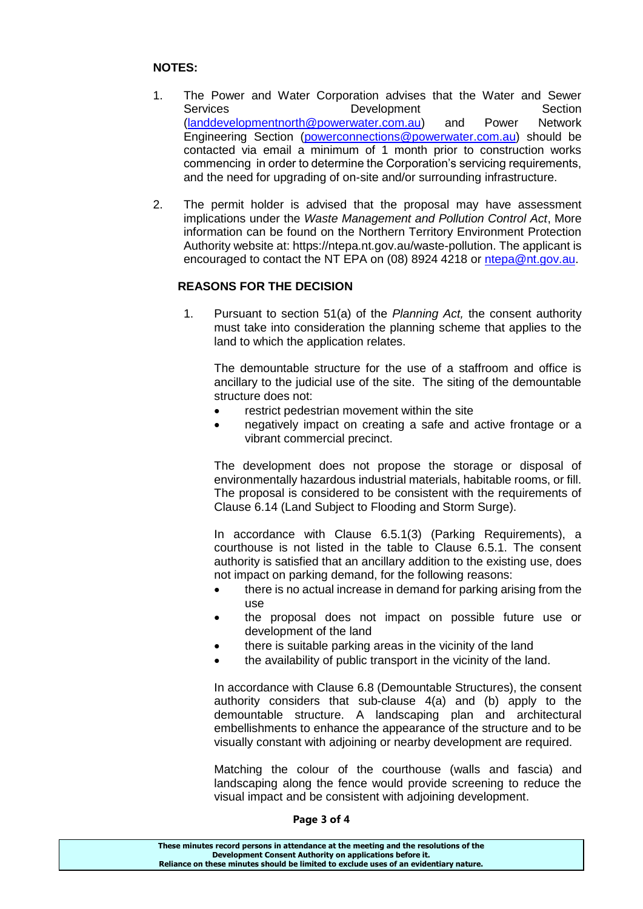### **NOTES:**

- 1. The Power and Water Corporation advises that the Water and Sewer Services **Development** Section [\(landdevelopmentnorth@powerwater.com.au\)](mailto:landdevelopmentnorth@powerwater.com.au) and Power Network Engineering Section [\(powerconnections@powerwater.com.au\)](mailto:powerconnections@powerwater.com.au) should be contacted via email a minimum of 1 month prior to construction works commencing in order to determine the Corporation's servicing requirements, and the need for upgrading of on-site and/or surrounding infrastructure.
- 2. The permit holder is advised that the proposal may have assessment implications under the *Waste Management and Pollution Control Act*, More information can be found on the Northern Territory Environment Protection Authority website at: https://ntepa.nt.gov.au/waste-pollution. The applicant is encouraged to contact the NT EPA on (08) 8924 4218 or [ntepa@nt.gov.au.](mailto:ntepa@nt.gov.au)

### **REASONS FOR THE DECISION**

1. Pursuant to section 51(a) of the *Planning Act,* the consent authority must take into consideration the planning scheme that applies to the land to which the application relates.

The demountable structure for the use of a staffroom and office is ancillary to the judicial use of the site. The siting of the demountable structure does not:

- restrict pedestrian movement within the site
- negatively impact on creating a safe and active frontage or a vibrant commercial precinct.

The development does not propose the storage or disposal of environmentally hazardous industrial materials, habitable rooms, or fill. The proposal is considered to be consistent with the requirements of Clause 6.14 (Land Subject to Flooding and Storm Surge).

In accordance with Clause 6.5.1(3) (Parking Requirements), a courthouse is not listed in the table to Clause 6.5.1. The consent authority is satisfied that an ancillary addition to the existing use, does not impact on parking demand, for the following reasons:

- there is no actual increase in demand for parking arising from the use
- the proposal does not impact on possible future use or development of the land
- there is suitable parking areas in the vicinity of the land
- the availability of public transport in the vicinity of the land.

In accordance with Clause 6.8 (Demountable Structures), the consent authority considers that sub-clause 4(a) and (b) apply to the demountable structure. A landscaping plan and architectural embellishments to enhance the appearance of the structure and to be visually constant with adjoining or nearby development are required.

Matching the colour of the courthouse (walls and fascia) and landscaping along the fence would provide screening to reduce the visual impact and be consistent with adjoining development.

#### **Page 3 of 4**